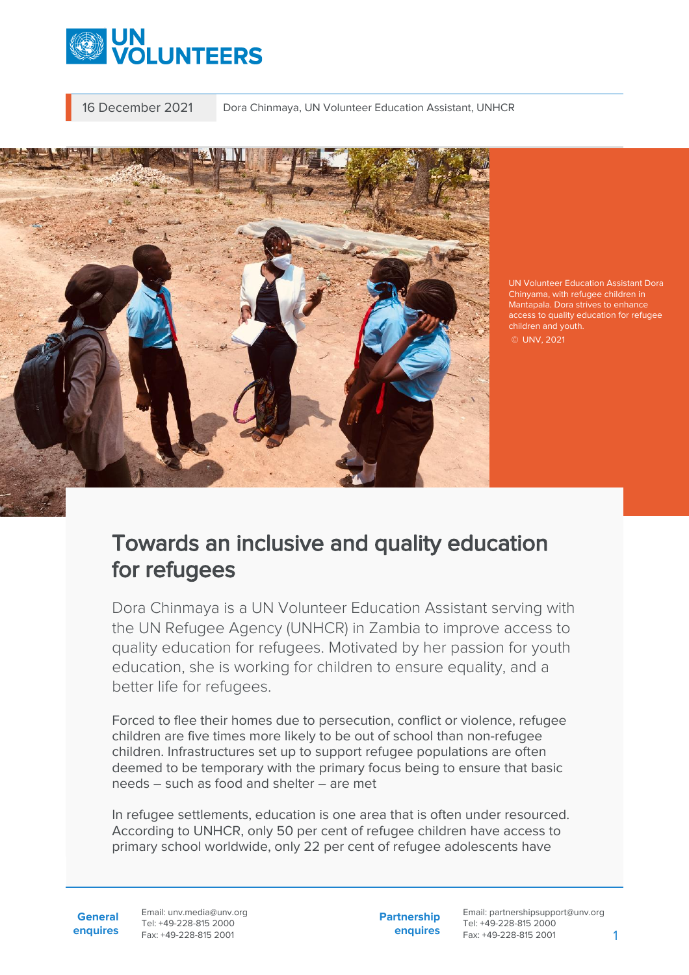

16 December 2021 Dora Chinmaya, UN Volunteer Education Assistant, UNHCR



UN Volunteer Education Assistant Dora Chinyama, with refugee children in Mantapala. Dora strives to enhance access to quality education for refugee © UNV, 2021

## Towards an inclusive and quality education for refugees

Dora Chinmaya is a UN Volunteer Education Assistant serving with the UN Refugee Agency (UNHCR) in Zambia to improve access to quality education for refugees. Motivated by her passion for youth education, she is working for children to ensure equality, and a better life for refugees.

Forced to flee their homes due to persecution, conflict or violence, refugee children are five times more likely to be out of school than non-refugee children. Infrastructures set up to support refugee populations are often deemed to be temporary with the primary focus being to ensure that basic needs – such as food and shelter – are met

In refugee settlements, education is one area that is often under resourced. According to UNHCR, only 50 per cent of refugee children have access to primary school worldwide, only 22 per cent of refugee adolescents have

**General enquires** Email: unv.media@unv.org Tel: +49-228-815 2000 Fax: +49-228-815 2001

**Partnership enquires**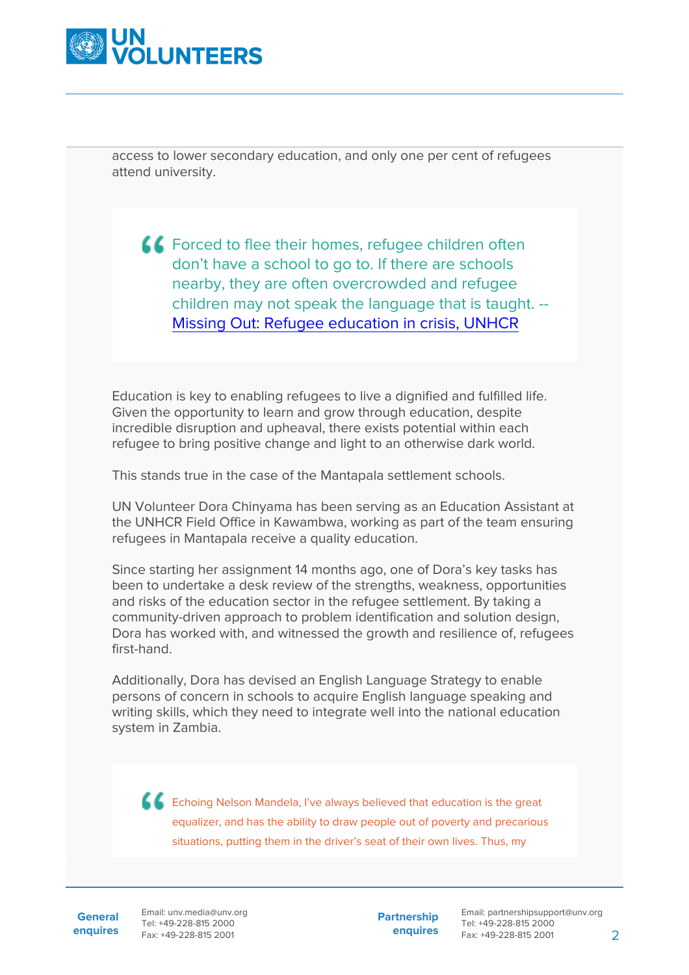

access to lower secondary education, and only one per cent of refugees attend university.

**CO** Forced to flee their homes, refugee children often don't have a school to go to. If there are schools nearby, they are often overcrowded and refugee children may not speak the language that is taught. -- [Missing Out: Refugee education in crisis, UNHCR](https://www.unhcr.org/missing-out-state-of-education-for-the-worlds-refugees.html)

Education is key to enabling refugees to live a dignified and fulfilled life. Given the opportunity to learn and grow through education, despite incredible disruption and upheaval, there exists potential within each refugee to bring positive change and light to an otherwise dark world.

This stands true in the case of the Mantapala settlement schools.

UN Volunteer Dora Chinyama has been serving as an Education Assistant at the UNHCR Field Office in Kawambwa, working as part of the team ensuring refugees in Mantapala receive a quality education.

Since starting her assignment 14 months ago, one of Dora's key tasks has been to undertake a desk review of the strengths, weakness, opportunities and risks of the education sector in the refugee settlement. By taking a community-driven approach to problem identification and solution design, Dora has worked with, and witnessed the growth and resilience of, refugees first-hand.

Additionally, Dora has devised an English Language Strategy to enable persons of concern in schools to acquire English language speaking and writing skills, which they need to integrate well into the national education system in Zambia.

**Echoing Nelson Mandela, I've always believed that education is the great** equalizer, and has the ability to draw people out of poverty and precarious situations, putting them in the driver's seat of their own lives. Thus, my

**General**

**enquires** Fax: +49-228-815 2001 Email: unv.media@unv.org Tel: +49-228-815 2000

**Partnership enquires**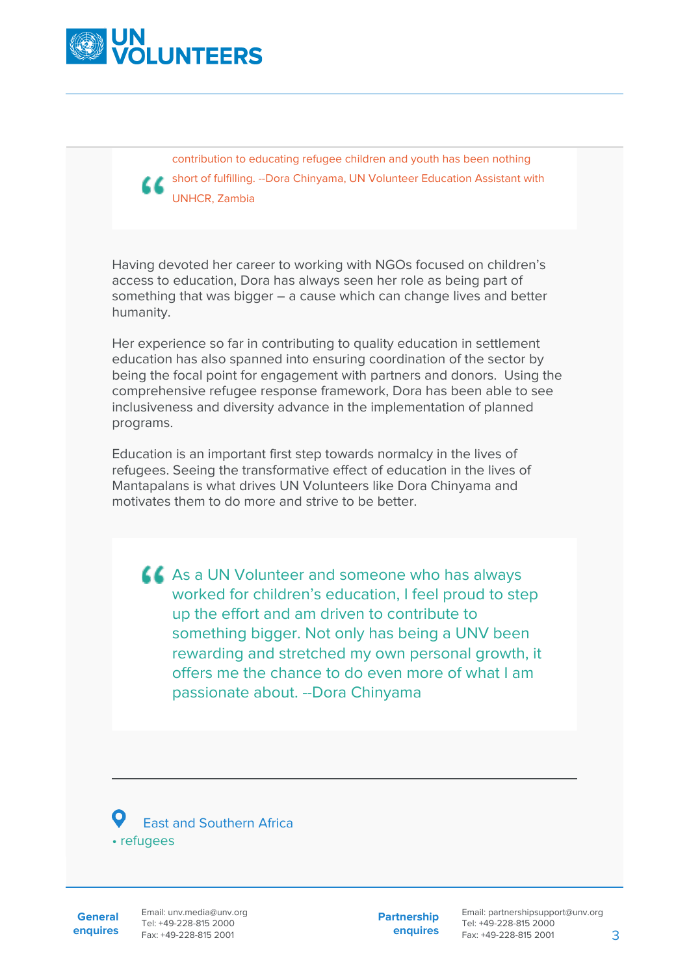

contribution to educating refugee children and youth has been nothing short of fulfilling. --Dora Chinyama, UN Volunteer Education Assistant with UNHCR, Zambia

Having devoted her career to working with NGOs focused on children's access to education, Dora has always seen her role as being part of something that was bigger – a cause which can change lives and better humanity.

Her experience so far in contributing to quality education in settlement education has also spanned into ensuring coordination of the sector by being the focal point for engagement with partners and donors. Using the comprehensive refugee response framework, Dora has been able to see inclusiveness and diversity advance in the implementation of planned programs.

Education is an important first step towards normalcy in the lives of refugees. Seeing the transformative effect of education in the lives of Mantapalans is what drives UN Volunteers like Dora Chinyama and motivates them to do more and strive to be better.

As a UN Volunteer and someone who has always worked for children's education, I feel proud to step up the effort and am driven to contribute to something bigger. Not only has being a UNV been rewarding and stretched my own personal growth, it offers me the chance to do even more of what I am passionate about. --Dora Chinyama



**General**

**enquires** Tel: +49-228-815 2000 Fax: +49-228-815 2001 Email: unv.media@unv.org<br>Tel: +49-228-815.2000

**Partnership enquires**